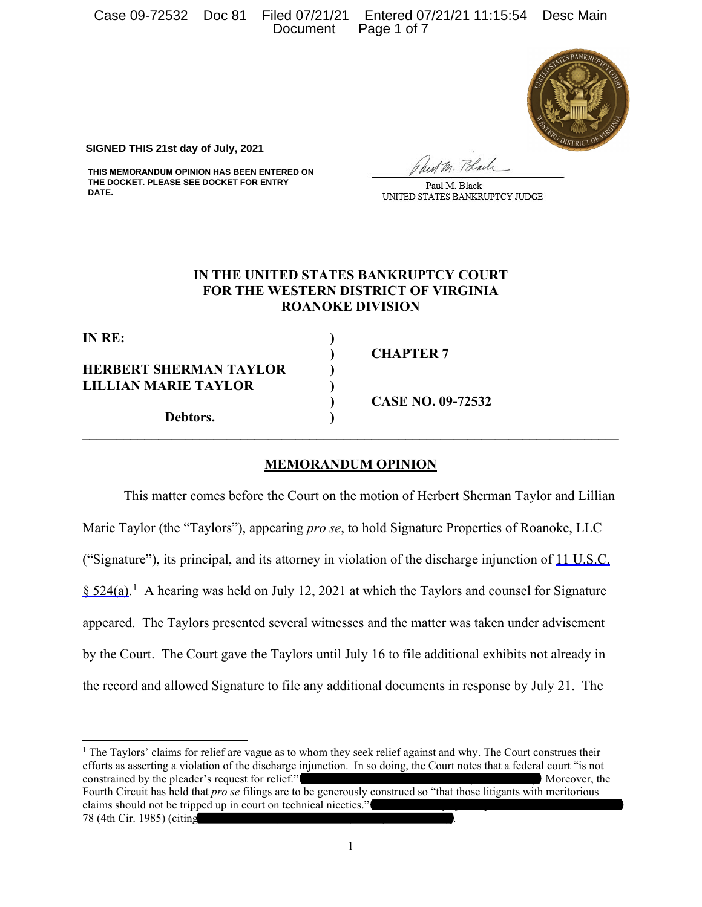Case 09-72532 Doc 81 Filed 07/21/21 Entered 07/21/21 11:15:54 Desc Main Document Page 1 of 7



**SIGNED THIS 21st day of July, 2021**

**THIS MEMORANDUM OPINION HAS BEEN ENTERED ON THE DOCKET. PLEASE SEE DOCKET FOR ENTRY DATE.**

hut M. Black

Paul M. Black UNITED STATES BANKRUPTCY JUDGE

# **IN THE UNITED STATES BANKRUPTCY COURT FOR THE WESTERN DISTRICT OF VIRGINIA ROANOKE DIVISION**

**IN RE: )** 

**HERBERT SHERMAN TAYLOR ) LILLIAN MARIE TAYLOR )** 

**Debtors. )** 

**) CHAPTER 7** 

**) CASE NO. 09-72532** 

## **MEMORANDUM OPINION**

**\_\_\_\_\_\_\_\_\_\_\_\_\_\_\_\_\_\_\_\_\_\_\_\_\_\_\_\_\_\_\_\_\_\_\_\_\_\_\_\_\_\_\_\_\_\_\_\_\_\_\_\_\_\_\_\_\_\_\_\_\_\_\_\_\_\_\_\_\_\_\_\_\_\_\_\_\_\_** 

This matter comes before the Court on the motion of Herbert Sherman Taylor and Lillian Marie Taylor (the "Taylors"), appearing *pro se*, to hold Signature Properties of Roanoke, LLC ("Signature"), its principal, and its attorney in violation of the discharge injunction of 11 U.S.C.  $\S 524(a)$ .<sup>[1](#page-0-0)</sup> A hearing was held on July 12, 2021 at which the Taylors and counsel for Signature appeared. The Taylors presented several witnesses and the matter was taken under advisement by the Court. The Court gave the Taylors until July 16 to file additional exhibits not already in the record and allowed Signature to file any additional documents in response by July 21. The

<span id="page-0-0"></span><sup>&</sup>lt;sup>1</sup> The Taylors' claims for relief are vague as to whom they seek relief against and why. The Court construes their efforts as asserting a violation of the discharge injunction. In so doing, the Court notes that a federal court "is not constrained by the pleader's request for relief." *Hamlin v. Warren,* [664 F.2d 29, 30 \(4th Cir.](https://1.next.westlaw.com/Link/Document/FullText?findType=Y&serNum=1981146779&pubNum=0000350&originatingDoc=I099c4730c0c311e4abb5d3b0022e2e07&refType=RP&fi=co_pp_sp_350_30&originationContext=document&transitionType=DocumentItem&contextData=(sc.Search)#co_pp_sp_350_30) 1981). Moreover, the Fourth Circuit has held that *pro se* filings are to be generously construed so "that those litigants with meritorious claims should not be tripped up in court on technical niceties." *[Beaudett v. City of Hampton,](https://1.next.westlaw.com/Link/Document/FullText?findType=Y&serNum=1985153826&pubNum=0000350&originatingDoc=I099c4730c0c311e4abb5d3b0022e2e07&refType=RP&fi=co_pp_sp_350_1277&originationContext=document&transitionType=DocumentItem&contextData=(sc.Search)#co_pp_sp_350_1277)* 775 F.2d 1274, 1277– [78 \(4th Cir.](https://1.next.westlaw.com/Link/Document/FullText?findType=Y&serNum=1985153826&pubNum=0000350&originatingDoc=I099c4730c0c311e4abb5d3b0022e2e07&refType=RP&fi=co_pp_sp_350_1277&originationContext=document&transitionType=DocumentItem&contextData=(sc.Search)#co_pp_sp_350_1277) 1985) (citing *Gordon v. Leeke,* [574 F.2d 1147, 1151 \(4th Cir.](https://1.next.westlaw.com/Link/Document/FullText?findType=Y&serNum=1978103530&pubNum=0000350&originatingDoc=I099c4730c0c311e4abb5d3b0022e2e07&refType=RP&fi=co_pp_sp_350_1151&originationContext=document&transitionType=DocumentItem&contextData=(sc.Search)#co_pp_sp_350_1151) 1978)).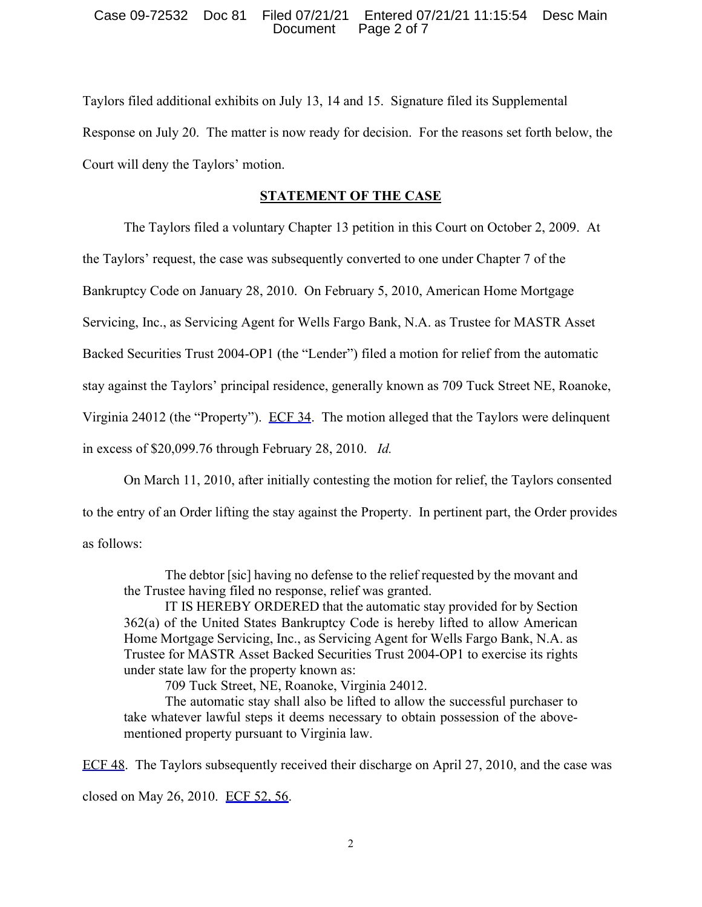## Case 09-72532 Doc 81 Filed 07/21/21 Entered 07/21/21 11:15:54 Desc Main Page 2 of 7

Taylors filed additional exhibits on July 13, 14 and 15. Signature filed its Supplemental Response on July 20. The matter is now ready for decision. For the reasons set forth below, the Court will deny the Taylors' motion.

# **STATEMENT OF THE CASE**

The Taylors filed a voluntary Chapter 13 petition in this Court on October 2, 2009. At

the Taylors' request, the case was subsequently converted to one under Chapter 7 of the

Bankruptcy Code on January 28, 2010. On February 5, 2010, American Home Mortgage

Servicing, Inc., as Servicing Agent for Wells Fargo Bank, N.A. as Trustee for MASTR Asset

Backed Securities Trust 2004-OP1 (the "Lender") filed a motion for relief from the automatic

stay against the Taylors' principal residence, generally known as 709 Tuck Street NE, Roanoke,

Virginia 24012 (the "Property"). ECF 34. The motion alleged that the Taylors were delinquent

in excess of \$20,099.76 through February 28, 2010. *Id.* 

On March 11, 2010, after initially contesting the motion for relief, the Taylors consented to the entry of an Order lifting the stay against the Property. In pertinent part, the Order provides as follows:

The debtor [sic] having no defense to the relief requested by the movant and the Trustee having filed no response, relief was granted.

IT IS HEREBY ORDERED that the automatic stay provided for by Section 362(a) of the United States Bankruptcy Code is hereby lifted to allow American Home Mortgage Servicing, Inc., as Servicing Agent for Wells Fargo Bank, N.A. as Trustee for MASTR Asset Backed Securities Trust 2004-OP1 to exercise its rights under state law for the property known as:

709 Tuck Street, NE, Roanoke, Virginia 24012.

The automatic stay shall also be lifted to allow the successful purchaser to take whatever lawful steps it deems necessary to obtain possession of the abovementioned property pursuant to Virginia law.

ECF 48. The Taylors subsequently received their discharge on April 27, 2010, and the case was closed on May 26, 2010. ECF 52, 56.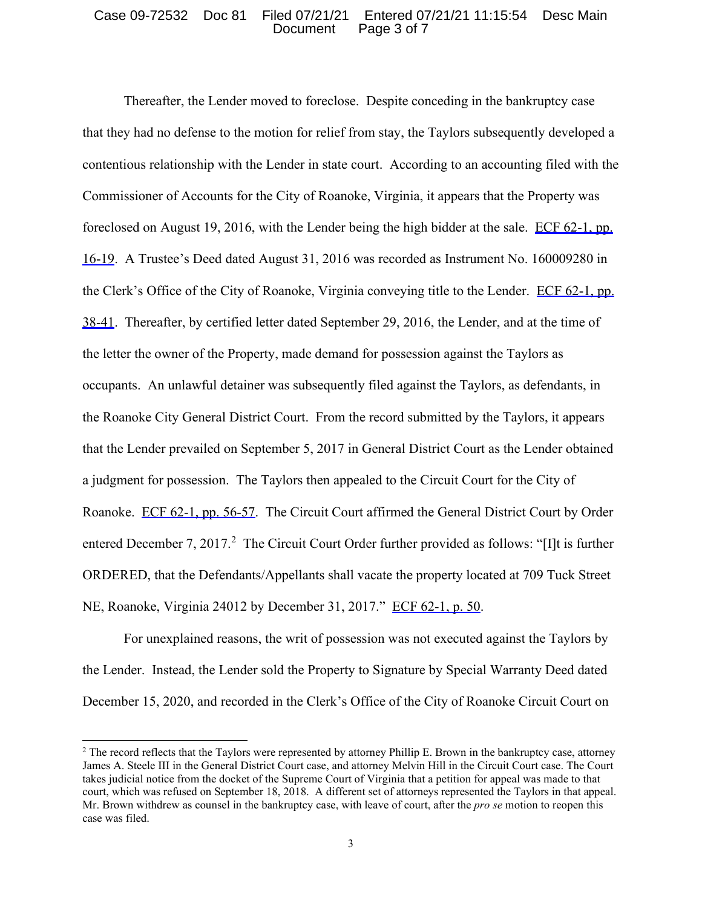#### Case 09-72532 Doc 81 Filed 07/21/21 Entered 07/21/21 11:15:54 Desc Main Document Page 3 of 7

Thereafter, the Lender moved to foreclose. Despite conceding in the bankruptcy case that they had no defense to the motion for relief from stay, the Taylors subsequently developed a contentious relationship with the Lender in state court. According to an accounting filed with the Commissioner of Accounts for the City of Roanoke, Virginia, it appears that the Property was foreclosed on August 19, 2016, with the Lender being the high bidder at the sale. ECF 62-1, pp. 16-19. A Trustee's Deed dated August 31, 2016 was recorded as Instrument No. 160009280 in the Clerk's Office of the City of Roanoke, Virginia conveying title to the Lender. ECF 62-1, pp. 38-41. Thereafter, by certified letter dated September 29, 2016, the Lender, and at the time of the letter the owner of the Property, made demand for possession against the Taylors as occupants. An unlawful detainer was subsequently filed against the Taylors, as defendants, in the Roanoke City General District Court. From the record submitted by the Taylors, it appears that the Lender prevailed on September 5, 2017 in General District Court as the Lender obtained a judgment for possession. The Taylors then appealed to the Circuit Court for the City of Roanoke. ECF 62-1, pp. 56-57. The Circuit Court affirmed the General District Court by Order entered December 7, [2](#page-2-0)017.<sup>2</sup> The Circuit Court Order further provided as follows: "[I]t is further ORDERED, that the Defendants/Appellants shall vacate the property located at 709 Tuck Street NE, Roanoke, Virginia 24012 by December 31, 2017." ECF 62-1, p. 50.

For unexplained reasons, the writ of possession was not executed against the Taylors by the Lender. Instead, the Lender sold the Property to Signature by Special Warranty Deed dated December 15, 2020, and recorded in the Clerk's Office of the City of Roanoke Circuit Court on

<span id="page-2-0"></span><sup>&</sup>lt;sup>2</sup> The record reflects that the Taylors were represented by attorney Phillip E. Brown in the bankruptcy case, attorney James A. Steele III in the General District Court case, and attorney Melvin Hill in the Circuit Court case. The Court takes judicial notice from the docket of the Supreme Court of Virginia that a petition for appeal was made to that court, which was refused on September 18, 2018. A different set of attorneys represented the Taylors in that appeal. Mr. Brown withdrew as counsel in the bankruptcy case, with leave of court, after the *pro se* motion to reopen this case was filed.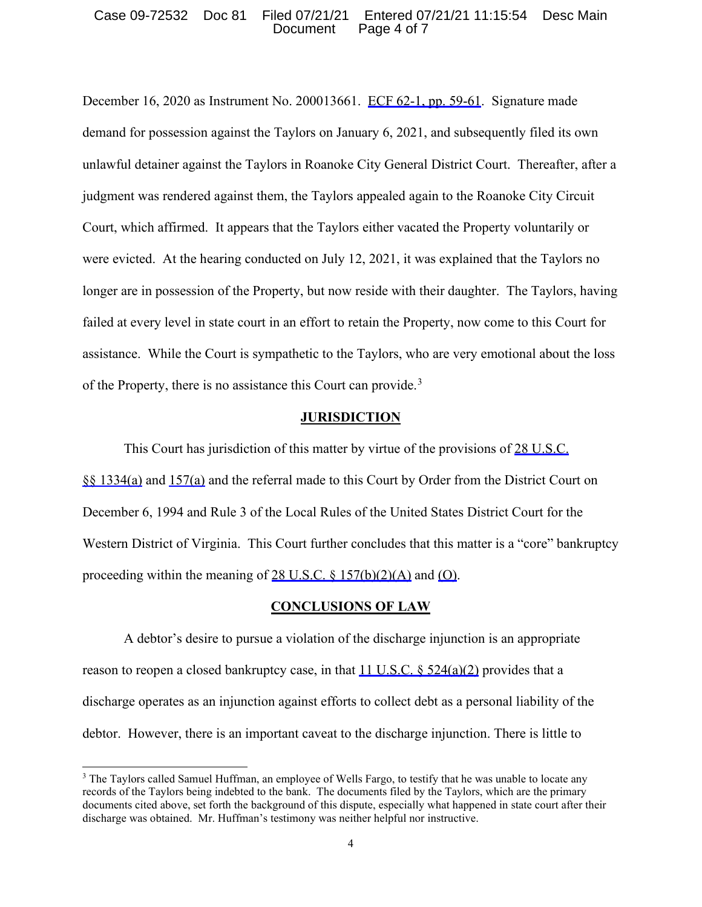#### Case 09-72532 Doc 81 Filed 07/21/21 Entered 07/21/21 11:15:54 Desc Main Document Page 4 of 7

December 16, 2020 as Instrument No. 200013661. ECF 62-1, pp. 59-61. Signature made demand for possession against the Taylors on January 6, 2021, and subsequently filed its own unlawful detainer against the Taylors in Roanoke City General District Court. Thereafter, after a judgment was rendered against them, the Taylors appealed again to the Roanoke City Circuit Court, which affirmed. It appears that the Taylors either vacated the Property voluntarily or were evicted. At the hearing conducted on July 12, 2021, it was explained that the Taylors no longer are in possession of the Property, but now reside with their daughter. The Taylors, having failed at every level in state court in an effort to retain the Property, now come to this Court for assistance. While the Court is sympathetic to the Taylors, who are very emotional about the loss of the Property, there is no assistance this Court can provide.<sup>[3](#page-3-0)</sup>

## **JURISDICTION**

This Court has jurisdiction of this matter by virtue of the provisions of 28 U.S.C. §§ 1334(a) and 157(a) and the referral made to this Court by Order from the District Court on December 6, 1994 and Rule 3 of the Local Rules of the United States District Court for the Western District of Virginia. This Court further concludes that this matter is a "core" bankruptcy proceeding within the meaning of 28 U.S.C.  $\frac{$157(b)(2)(A)}{20(A)}$  and  $\frac{100}{20(A)}$ .

## **CONCLUSIONS OF LAW**

A debtor's desire to pursue a violation of the discharge injunction is an appropriate reason to reopen a closed bankruptcy case, in that 11 U.S.C. § 524(a)(2) provides that a discharge operates as an injunction against efforts to collect debt as a personal liability of the debtor. However, there is an important caveat to the discharge injunction. There is little to

<span id="page-3-0"></span><sup>&</sup>lt;sup>3</sup> The Taylors called Samuel Huffman, an employee of Wells Fargo, to testify that he was unable to locate any records of the Taylors being indebted to the bank. The documents filed by the Taylors, which are the primary documents cited above, set forth the background of this dispute, especially what happened in state court after their discharge was obtained. Mr. Huffman's testimony was neither helpful nor instructive.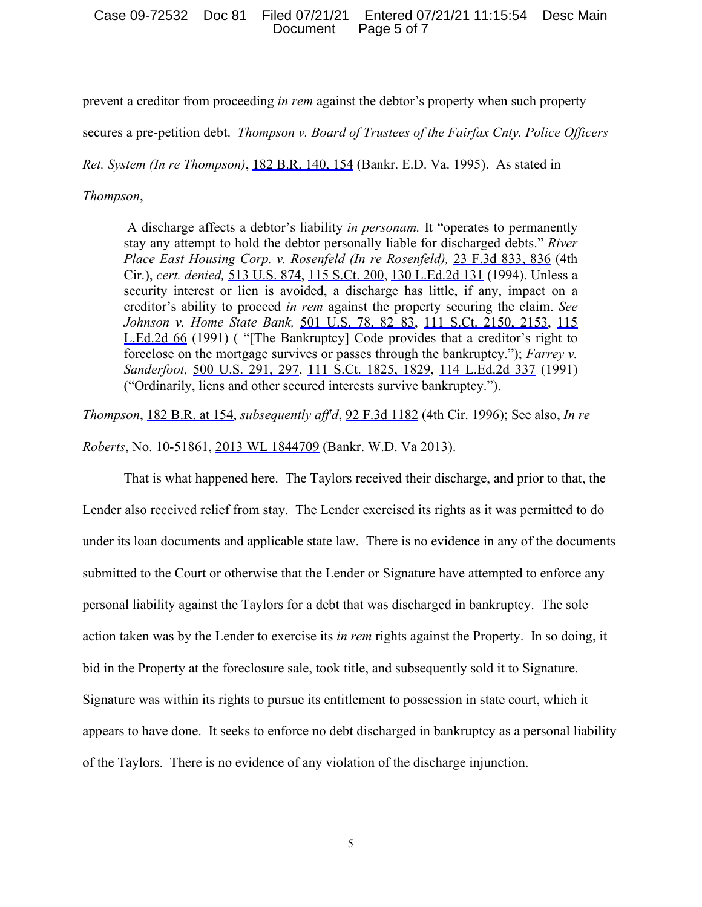### Case 09-72532 Doc 81 Filed 07/21/21 Entered 07/21/21 11:15:54 Desc Main Document Page 5 of 7

prevent a creditor from proceeding *in rem* against the debtor's property when such property

secures a pre-petition debt. *Thompson v. Board of Trustees of the Fairfax Cnty. Police Officers* 

*Ret. System (In re Thompson)*, 182 B.R. 140, 154 (Bankr. E.D. Va. 1995). As stated in

#### *Thompson*,

A discharge affects a debtor's liability *in personam.* It "operates to permanently stay any attempt to hold the debtor personally liable for discharged debts." *River Place East Housing Corp. v. Rosenfeld (In re Rosenfeld),* 23 F.3d 833, 836 (4th Cir.), *cert. denied,* 513 U.S. 874, 115 S.Ct. 200, 130 L.Ed.2d 131 (1994). Unless a security interest or lien is avoided, a discharge has little, if any, impact on a creditor's ability to proceed *in rem* against the property securing the claim. *See Johnson v. Home State Bank,* 501 U.S. 78, 82–83, 111 S.Ct. 2150, 2153, 115 L.Ed.2d 66 (1991) ( "[The Bankruptcy] Code provides that a creditor's right to foreclose on the mortgage survives or passes through the bankruptcy."); *Farrey v. Sanderfoot,* 500 U.S. 291, 297, 111 S.Ct. 1825, 1829, 114 L.Ed.2d 337 (1991) ("Ordinarily, liens and other secured interests survive bankruptcy.").

*Thompson*, 182 B.R. at 154, *subsequently aff*'*d*, 92 F.3d 1182 (4th Cir. 1996); See also, *In re Roberts*, No. 10-51861, 2013 WL 1844709 (Bankr. W.D. Va 2013).

That is what happened here. The Taylors received their discharge, and prior to that, the Lender also received relief from stay. The Lender exercised its rights as it was permitted to do under its loan documents and applicable state law. There is no evidence in any of the documents submitted to the Court or otherwise that the Lender or Signature have attempted to enforce any personal liability against the Taylors for a debt that was discharged in bankruptcy. The sole action taken was by the Lender to exercise its *in rem* rights against the Property. In so doing, it bid in the Property at the foreclosure sale, took title, and subsequently sold it to Signature. Signature was within its rights to pursue its entitlement to possession in state court, which it appears to have done. It seeks to enforce no debt discharged in bankruptcy as a personal liability of the Taylors. There is no evidence of any violation of the discharge injunction.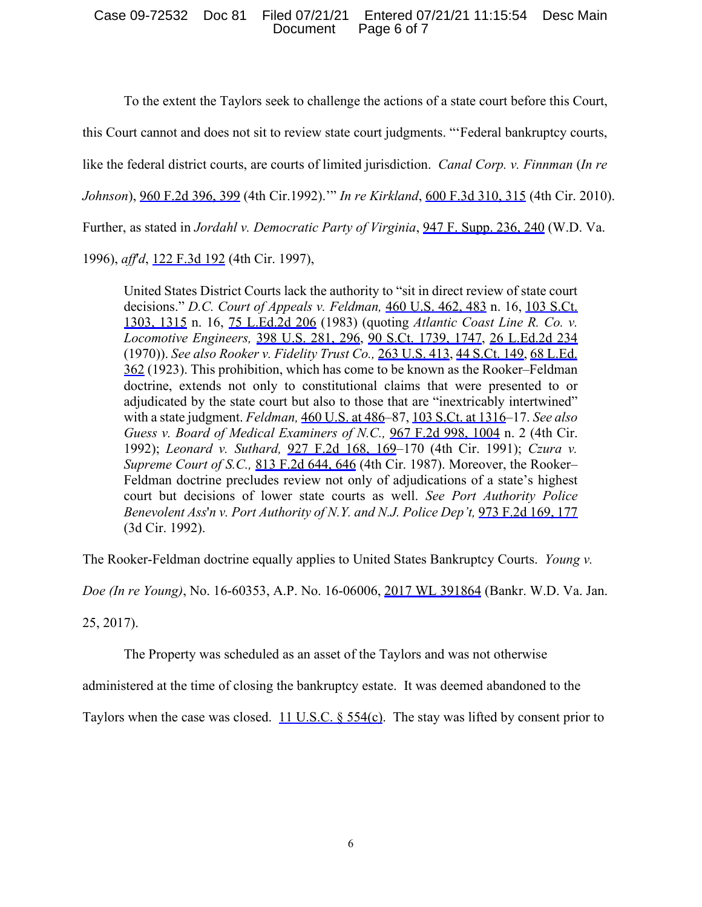## Case 09-72532 Doc 81 Filed 07/21/21 Entered 07/21/21 11:15:54 Desc Main Document Page 6 of 7

To the extent the Taylors seek to challenge the actions of a state court before this Court,

this Court cannot and does not sit to review state court judgments. "'Federal bankruptcy courts,

like the federal district courts, are courts of limited jurisdiction. *Canal Corp. v. Finnman* (*In re* 

*Johnson*), 960 F.2d 396, 399 (4th Cir.1992).'" *In re Kirkland*, 600 F.3d 310, 315 (4th Cir. 2010).

Further, as stated in *Jordahl v. Democratic Party of Virginia*, 947 F. Supp. 236, 240 (W.D. Va.

1996), *aff*'*d*, 122 F.3d 192 (4th Cir. 1997),

United States District Courts lack the authority to "sit in direct review of state court decisions." *D.C. Court of Appeals v. Feldman,* 460 U.S. 462, 483 n. 16, 103 S.Ct. 1303, 1315 n. 16, 75 L.Ed.2d 206 (1983) (quoting *Atlantic Coast Line R. Co. v. Locomotive Engineers,* 398 U.S. 281, 296, 90 S.Ct. 1739, 1747, 26 L.Ed.2d 234 (1970)). *See also Rooker v. Fidelity Trust Co.,* 263 U.S. 413, 44 S.Ct. 149, 68 L.Ed. 362 (1923). This prohibition, which has come to be known as the Rooker–Feldman doctrine, extends not only to constitutional claims that were presented to or adjudicated by the state court but also to those that are "inextricably intertwined" with a state judgment. *Feldman,* 460 U.S. at 486–87, 103 S.Ct. at 1316–17. *See also Guess v. Board of Medical Examiners of N.C.,* 967 F.2d 998, 1004 n. 2 (4th Cir. 1992); *Leonard v. Suthard,* 927 F.2d 168, 169–170 (4th Cir. 1991); *Czura v. Supreme Court of S.C.,* 813 F.2d 644, 646 (4th Cir. 1987). Moreover, the Rooker– Feldman doctrine precludes review not only of adjudications of a state's highest court but decisions of lower state courts as well. *See Port Authority Police Benevolent Ass*'*n v. Port Authority of N.Y. and N.J. Police Dep't,* 973 F.2d 169, 177 (3d Cir. 1992).

The Rooker-Feldman doctrine equally applies to United States Bankruptcy Courts. *Young v.* 

*Doe (In re Young)*, No. 16-60353, A.P. No. 16-06006, 2017 WL 391864 (Bankr. W.D. Va. Jan.

25, 2017).

The Property was scheduled as an asset of the Taylors and was not otherwise

administered at the time of closing the bankruptcy estate. It was deemed abandoned to the

Taylors when the case was closed. 11 U.S.C. § 554(c). The stay was lifted by consent prior to